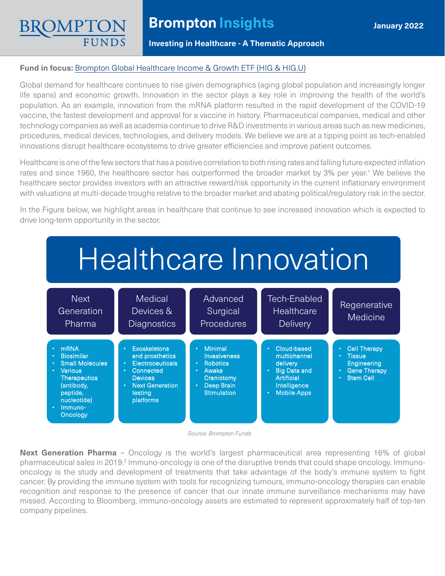# **Brompton Insights**

## **Investing in Healthcare - A Thematic Approach**

## **Fund in focus:** [Brompton Global Healthcare Income & Growth ETF](https://www.bromptongroup.com/product/global-healthcare-income-growth-etf/) (HIG & HIG.U)

Global demand for healthcare continues to rise given demographics (aging global population and increasingly longer life spans) and economic growth. Innovation in the sector plays a key role in improving the health of the world's population. As an example, innovation from the mRNA platform resulted in the rapid development of the COVID-19 vaccine, the fastest development and approval for a vaccine in history. Pharmaceutical companies, medical and other technology companies as well as academia continue to drive R&D investments in various areas such as new medicines, procedures, medical devices, technologies, and delivery models. We believe we are at a tipping point as tech-enabled innovations disrupt healthcare ecosystems to drive greater efficiencies and improve patient outcomes.

Healthcare is one of the few sectors that has a positive correlation to both rising rates and falling future expected inflation rates and since 1960, the healthcare sector has outperformed the broader market by 3% per year.<sup>1</sup> We believe the healthcare sector provides investors with an attractive reward/risk opportunity in the current inflationary environment with valuations at multi-decade troughs relative to the broader market and abating political/regulatory risk in the sector.

In the Figure below, we highlight areas in healthcare that continue to see increased innovation which is expected to drive long-term opportunity in the sector.



*Source: Brompton Funds*

**Next Generation Pharma** – Oncology is the world's largest pharmaceutical area representing 16% of global pharmaceutical sales in 2019.<sup>2</sup> Immuno-oncology is one of the disruptive trends that could shape oncology. Immunooncology is the study and development of treatments that take advantage of the body's immune system to fight cancer. By providing the immune system with tools for recognizing tumours, immuno-oncology therapies can enable recognition and response to the presence of cancer that our innate immune surveillance mechanisms may have missed. According to Bloomberg, immuno-oncology assets are estimated to represent approximately half of top-ten company pipelines.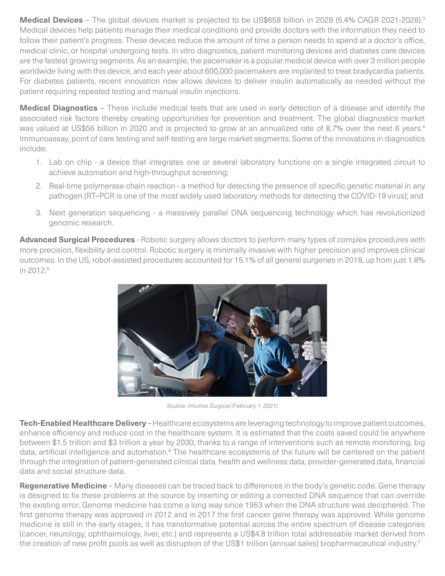**Medical Devices** – The global devices market is projected to be US\$658 billion in 2028 (5.4% CAGR 2021-2028).3 Medical devices help patients manage their medical conditions and provide doctors with the information they need to follow their patient's progress. These devices reduce the amount of time a person needs to spend at a doctor's office, medical clinic, or hospital undergoing tests. In vitro diagnostics, patient monitoring devices and diabetes care devices are the fastest growing segments. As an example, the pacemaker is a popular medical device with over 3 million people worldwide living with this device, and each year about 600,000 pacemakers are implanted to treat bradycardia patients. For diabetes patients, recent innovation now allows devices to deliver insulin automatically as needed without the patient requiring repeated testing and manual insulin injections.

**Medical Diagnostics** – These include medical tests that are used in early detection of a disease and identify the associated risk factors thereby creating opportunities for prevention and treatment. The global diagnostics market was valued at US\$56 billion in 2020 and is projected to grow at an annualized rate of 8.7% over the next 6 years.<sup>4</sup> Immunoassay, point of care testing and self-testing are large market segments. Some of the innovations in diagnostics include:

- 1. Lab on chip a device that integrates one or several laboratory functions on a single integrated circuit to achieve automation and high-throughput screening;
- 2. Real-time polymerase chain reaction a method for detecting the presence of specific genetic material in any pathogen (RT–PCR is one of the most widely used laboratory methods for detecting the COVID-19 virus); and
- 3. Next generation sequencing a massively parallel DNA sequencing technology which has revolutionized genomic research.

**Advanced Surgical Procedures** - Robotic surgery allows doctors to perform many types of complex procedures with more precision, flexibility and control. Robotic surgery is minimally invasive with higher precision and improves clinical outcomes. In the US, robot-assisted procedures accounted for 15.1% of all general surgeries in 2018, up from just 1.8% in 2012.<sup>5</sup>



*Source: Intuitive Surgical (February 1, 2021)*

**Tech-Enabled Healthcare Delivery** – Healthcare ecosystems are leveraging technology to improve patient outcomes, enhance efficiency and reduce cost in the healthcare system. It is estimated that the costs saved could lie anywhere between \$1.5 trillion and \$3 trillion a year by 2030, thanks to a range of interventions such as remote monitoring, big data, artificial intelligence and automation.<sup>6</sup> The healthcare ecosystems of the future will be centered on the patient through the integration of patient-generated clinical data, health and wellness data, provider-generated data, financial data and social structure data.

**Regenerative Medicine** – Many diseases can be traced back to differences in the body's genetic code. Gene therapy is designed to fix these problems at the source by inserting or editing a corrected DNA sequence that can override the existing error. Genome medicine has come a long way since 1953 when the DNA structure was deciphered. The first genome therapy was approved in 2012 and in 2017 the first cancer gene therapy was approved. While genome medicine is still in the early stages, it has transformative potential across the entire spectrum of disease categories (cancer, neurology, ophthalmology, liver, etc.) and represents a US\$4.8 trillion total addressable market derived from the creation of new profit pools as well as disruption of the US\$1 trillion (annual sales) biopharmaceutical industry.<sup>7</sup>